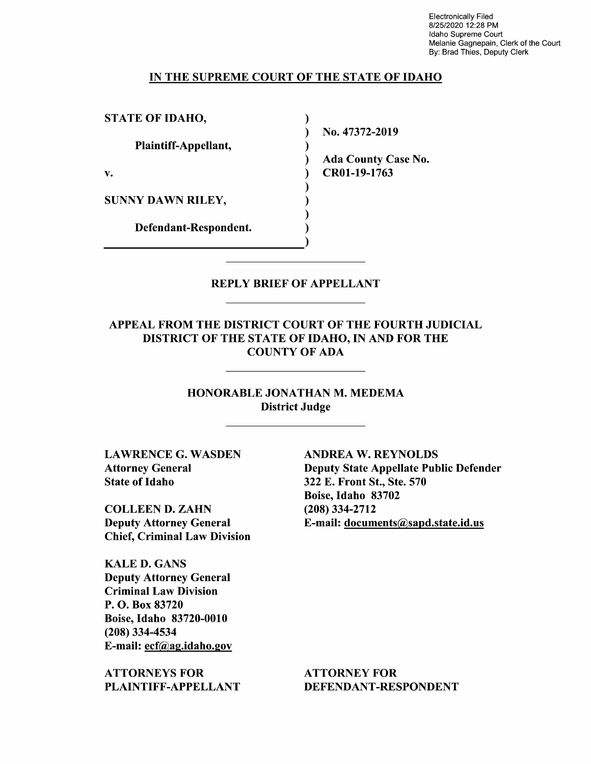Electronically Filed 8/25/2020 12:28 PM Idaho Supreme Court Melanie Gagnepain, Clerk of the Court By: Brad Thies, Deputy Clerk

#### IN THE SUPREME COURT OF THE STATE OF IDAHO

 $\lambda$ λ  $\lambda$ ℩

Defendant—Respondent. STATE OF IDAHO, Plaintiff—Appellant, v. CR01-19-1763 SUNNY DAWN RILEY,

N0. 47372-2019 Ada County Case N0.

### REPLY BRIEF OF APPELLANT

# APPEAL FROM THE DISTRICT COURT OF THE FOURTH JUDICIAL DISTRICT OF THE STATE OF IDAHO, IN AND FOR THE COUNTY OF ADA

HONORABLE JONATHAN M. MEDEMA District Judge

State of Idaho 322 E. Front St., Ste. 570

COLLEEN D. ZAHN (208) 334-2712 Chief, Criminal Law Division

KALE D. GANS Deputy Attorney General Criminal Law Division P. O. Box 83720 Boise, Idaho 83720-0010 (208) 334-4534 E-mail: ecf@ag.idaho.gov

ATTORNEYS FOR ATTORNEY FOR

LAWRENCE G. WASDEN ANDREA W. REYNOLDS Attorney General Deputy State Appellate Public Defender Boise, Idaho 83702 Deputy Attorney General E-mail: documents@sapd.state.id.us

PLAINTIFF-APPELLANT DEFENDANT-RESPONDENT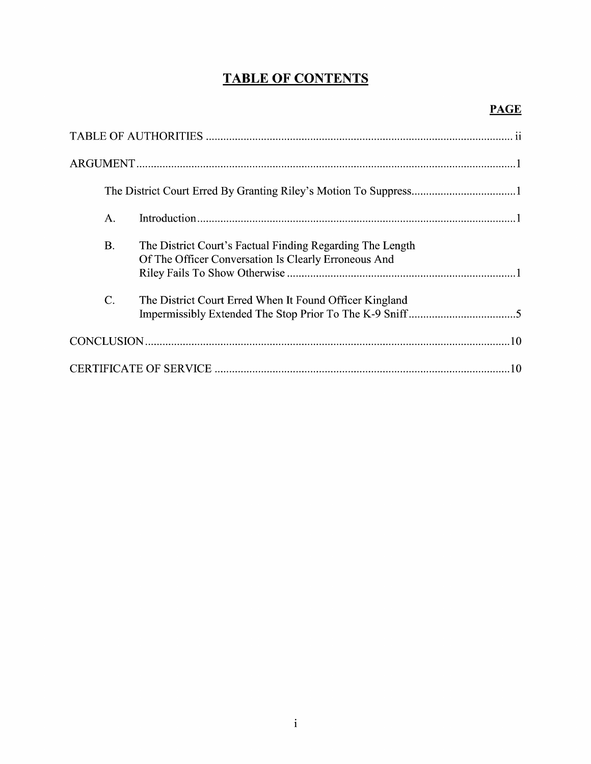# TABLE OF CONTENTS

| A.              |                                                                                                                   |  |
|-----------------|-------------------------------------------------------------------------------------------------------------------|--|
| <b>B.</b>       | The District Court's Factual Finding Regarding The Length<br>Of The Officer Conversation Is Clearly Erroneous And |  |
| $\mathcal{C}$ . | The District Court Erred When It Found Officer Kingland                                                           |  |
|                 |                                                                                                                   |  |
|                 |                                                                                                                   |  |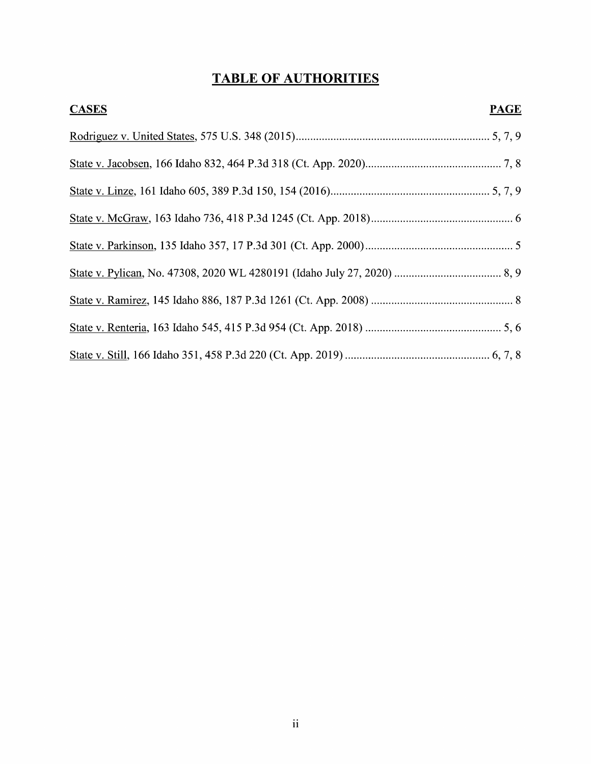# TABLE OF AUTHORITIES

| <b>CASES</b> | <b>PAGE</b> |
|--------------|-------------|
|              |             |
|              |             |
|              |             |
|              |             |
|              |             |
|              |             |
|              |             |
|              |             |
|              |             |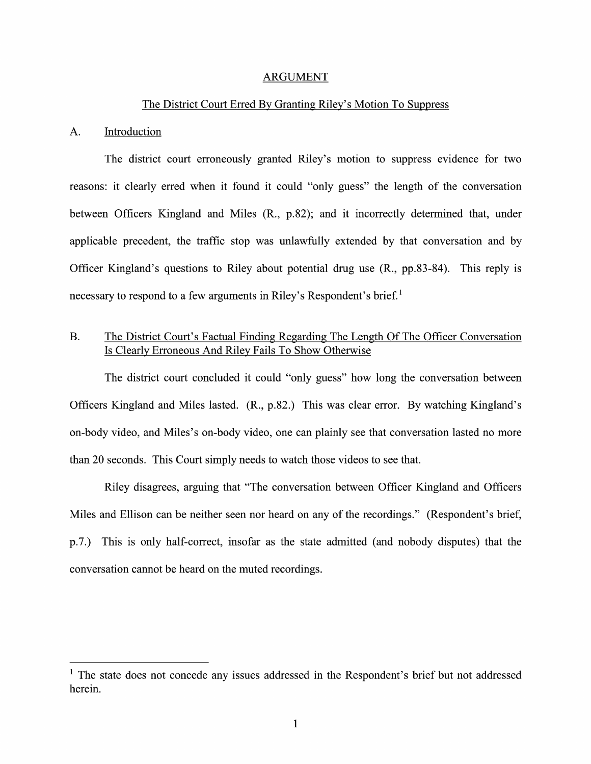#### ARGUMENT

#### The District Court Erred By Granting Riley's Motion To Suppress

#### A. Introduction

The district court erroneously granted Riley's motion to suppress evidence for two reasons: it clearly erred when it found it could "only guess" the length 0f the conversation between Officers Kingland and Miles (R., p.82); and it incorrectly determined that, under applicable precedent, the traffic stop was unlawfully extended by that conversation and by Officer Kingland's questions to Riley about potential drug use (R., pp.83-84). This reply is necessary to respond to a few arguments in Riley's Respondent's brief.<sup>1</sup>

## B. The District Court's Factual Finding Regarding The Length Of The Officer Conversation Is Clearly Erroneous And Riley Fails To Show Otherwise

The district court concluded it could "only guess" how long the conversation between Officers Kingland and Miles lasted. (R., p.82.) This was clear error. By watching Kingland's on-body Video, and Miles's on-body Video, one can plainly see that conversation lasted n0 more than 20 seconds. This Court simply needs to watch those videos to see that.

Riley disagrees, arguing that "The conversation between Officer Kingland and Officers Miles and Ellison can be neither seen nor heard on any of the recordings." (Respondent's brief, p.7.) This is only half-correct, insofar as the state admitted (and nobody disputes) that the conversation cannot be heard on the muted recordings.

 $<sup>1</sup>$  The state does not concede any issues addressed in the Respondent's brief but not addressed</sup> herein.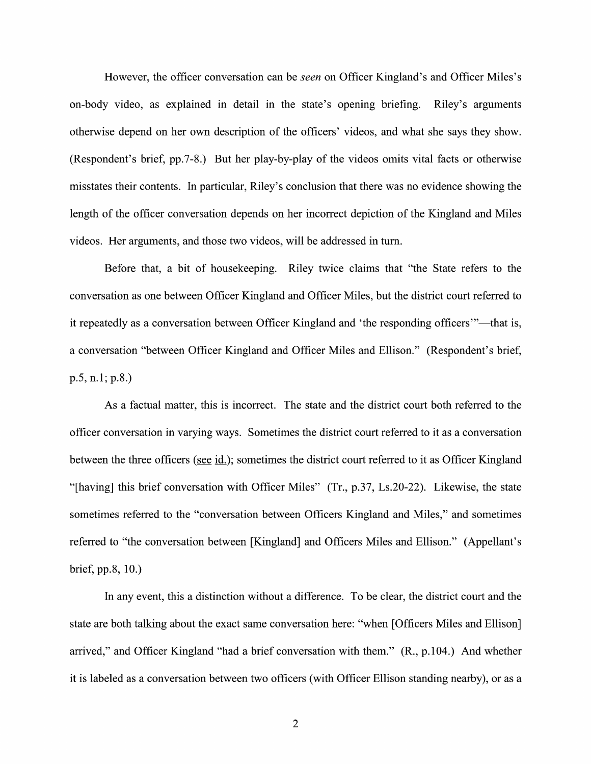However, the officer conversation can be *seen* on Officer Kingland's and Officer Miles's on-body Video, as explained in detail in the state's opening briefing. Riley's arguments otherwise depend 0n her own description of the officers' Videos, and What she says they show. (Respondent's brief, pp.7—8.) But her play-by-play 0f the Videos omits Vital facts 0r otherwise misstates their contents. In particular, Riley's conclusion that there was n0 evidence showing the length of the officer conversation depends on her incorrect depiction of the Kingland and Miles videos. Her arguments, and those two videos, will be addressed in turn.

Before that, a bit of housekeeping. Riley twice claims that "the State refers to the conversation as one between Officer Kingland and Officer Miles, but the district court referred t0 it repeatedly as conversation between Officer Kingland and 'the responding officers"'—that is, a conversation "between Officer Kingland and Officer Miles and Ellison." (Respondent's brief, p.5, n.1; p.8.)

As a factual matter, this is incorrect. The state and the district court both referred to the officer conversation in varying ways. Sometimes the district court referred t0 it as conversation between the three officers (see id.); sometimes the district court referred to it as Officer Kingland "[having] this brief conversation with Officer Miles"  $(Tr, p.37, Ls.20-22)$ . Likewise, the state sometimes referred to the "conversation between Officers Kingland and Miles," and sometimes referred to "the conversation between [Kingland] and Officers Miles and Ellison." (Appellant's brief, pp.8, 10.)

In any event, this a distinction without a difference. To be clear, the district court and the state are both talking about the exact same conversation here: "When [Officers Miles and Ellison] arrived," and Officer Kingland "had a brief conversation with them." (R., p.104.) And whether it is labeled as a conversation between two officers (with Officer Ellison standing nearby), or as a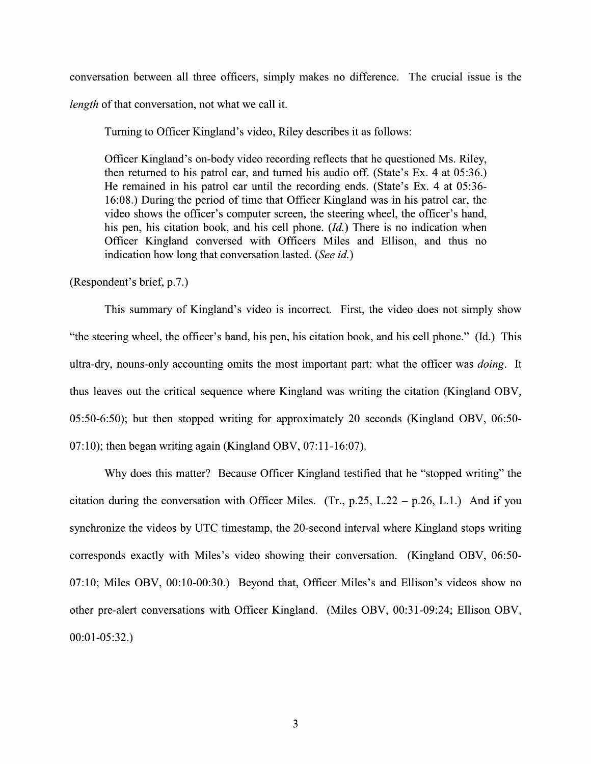conversation between all three officers, simply makes no difference. The crucial issue is the length of that conversation, not what we call it.

Turning to Officer Kingland's video, Riley describes it as follows:

Officer Kingland's on—body Video recording reflects that he questioned Ms. Riley, then returned to his patrol car, and turned his audio off. (State's Ex. 4 at  $05:36$ .) He remained in his patrol car until the recording ends. (State's Ex. 4 at 05:36-16:08.) During the period of time that Officer Kingland was in his patrol car, the video shows the officer's computer screen, the steering wheel, the officer's hand, his pen, his citation book, and his cell phone.  $(Id.)$  There is no indication when Officer Kingland conversed With Officers Miles and Ellison, and thus n0 indication how long that conversation lasted. (See id.)

(Respondent's brief, p.7.)

This summary of Kingland's video is incorrect. First, the video does not simply show "the steering Wheel, the officer's hand, his pen, his citation book, and his cell phone." (Id.) This ultra-dry, nouns-only accounting omits the most important part: what the officer was *doing*. It thus leaves out the critical sequence where Kingland was writing the citation (Kingland OBV, 05:50-6:50); but then stopped writing for approximately 20 seconds (Kingland OBV,  $06:50-$ 07:10); then began writing again (Kingland OBV,  $07:11-16:07$ ).

Why does this matter? Because Officer Kingland testified that he "stopped writing" the citation during the conversation with Officer Miles. (Tr., p.25, L.22 – p.26, L.1.) And if you synchronize the videos by UTC timestamp, the 20-second interval where Kingland stops writing corresponds exactly with Miles's Video showing their conversation. (Kingland OBV, 06:50-  $07:10$ ; Miles OBV,  $00:10-00:30$ .) Beyond that, Officer Miles's and Ellison's videos show no other pre-alert conversations with Officer Kingland. (Miles OBV, 00:31-09:24; Ellison OBV, 00:01-05:32.)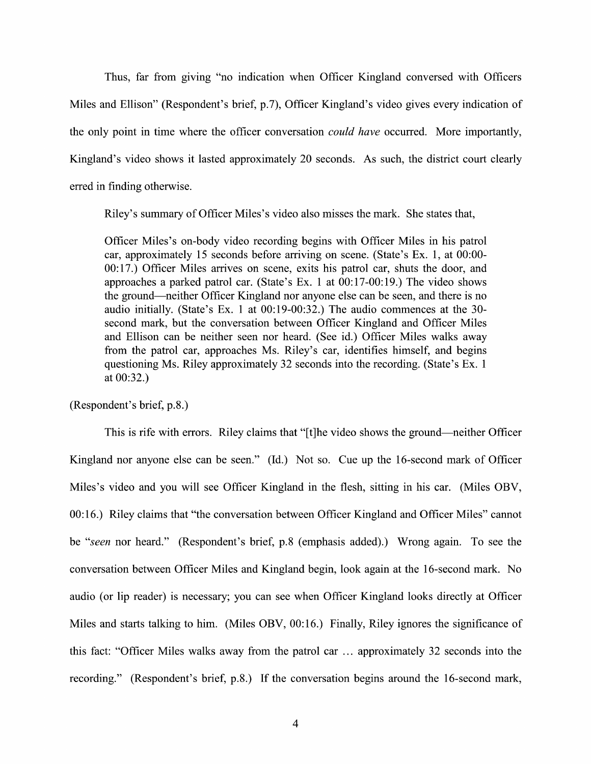Thus, far from giving "no indication When Officer Kingland conversed With Officers Miles and Ellison" (Respondent's brief, p.7), Officer Kingland's Video gives every indication of the only point in time where the officer conversation *could have* occurred. More importantly, Kingland's video shows it lasted approximately 20 seconds. As such, the district court clearly erred in finding otherwise.

Riley's summary 0f Officer Miles's Video also misses the mark. She states that,

Officer Miles's on-body Video recording begins With Officer Miles in his patrol car, approximately 15 seconds before arriving 0n scene. (State's EX. 1, at 00:00- 00:17.) Officer Miles arrives on scene, exits his patrol car, shuts the door, and approaches a parked patrol car. (State's Ex. 1 at  $00:17-00:19$ .) The video shows the ground—neither Officer Kingland nor anyone else can be seen, and there is no audio initially. (State's Ex. 1 at  $00:19-00:32$ .) The audio commences at the 30second mark, but the conversation between Officer Kingland and Officer Miles and Ellison can be neither seen nor heard. (See id.) Officer Miles walks away from the patrol car, approaches Ms. Riley's car, identifies himself, and begins questioning Ms. Riley approximately 32 seconds into the recording. (State's EX. at 00:32.)

(Respondent's brief, p.8.)

This is rife with errors. Riley claims that "[t]he video shows the ground—neither Officer Kingland nor anyone else can be seen." (Id.) Not so. Cue up the 16-second mark of Officer Miles's Video and you Will see Officer Kingland in the flesh, sitting in his car. (Miles OBV, 00:16.) Riley claims that "the conversation between Officer Kingland and Officer Miles" cannot be "seen nor heard." (Respondent's brief, p.8 (emphasis added).) Wrong again. To see the conversation between Officer Miles and Kingland begin, 100k again at the 16-second mark. N0 audio (0r lip reader) is necessary; you can see when Officer Kingland looks directly at Officer Miles and starts talking to him. (Miles OBV, 00:16.) Finally, Riley ignores the significance of this fact: "Officer Miles walks away from the patrol car  $\dots$  approximately 32 seconds into the recording." (Respondent's brief, p.8.) If the conversation begins around the 16-second mark,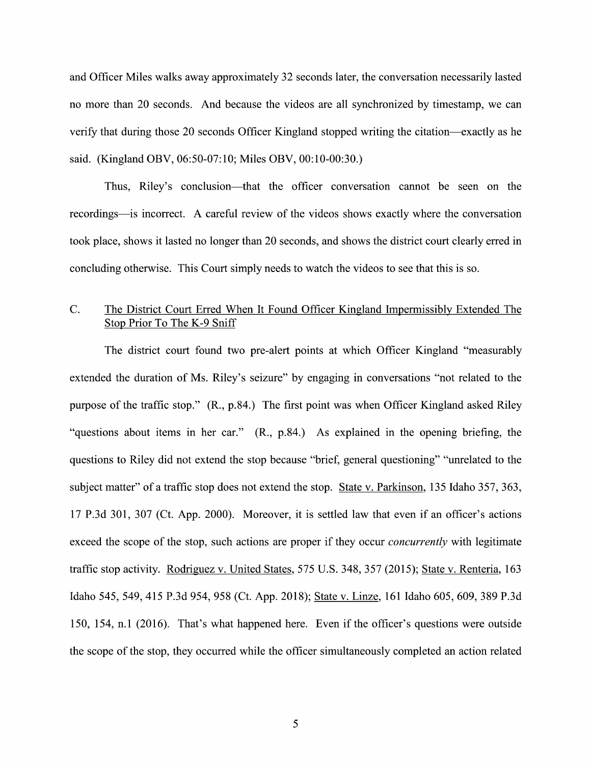and Officer Miles walks away approximately 32 seconds later, the conversation necessarily lasted no more than 20 seconds. And because the Videos are all synchronized by timestamp, we can verify that during those 20 seconds Officer Kingland stopped writing the citation—exactly as he said. (Kingland OBV, 06:50-07:10; Miles OBV, 00:10-00:30.)

Thus, Riley's conclusion—that the officer conversation cannot be seen 0n the recordings—is incorrect. A careful review of the videos shows exactly where the conversation took place, shows it lasted no longer than 20 seconds, and shows the district court clearly erred in concluding otherwise. This Court simply needs to watch the videos to see that this is so.

## C. The District Court Erred When It Found Officer Kingland Impermissiblv Extended The Stop Prior To The K-9 Sniff

The district court found two pre-alert points at which Officer Kingland "measurably extended the duration of Ms. Riley's seizure" by engaging in conversations "not related to the purpose 0f the traffic stop." (R., p.84.) The first point was when Officer Kingland asked Riley "questions about items in her car." (R., p.84.) As explained in the opening briefing, the questions to Riley did not extend the stop because "brief, general questioning" "unrelated to the subject matter" of a traffic stop does not extend the stop. State v. Parkinson, 135 Idaho 357, 363, 17 P.3d 301, 307 (Ct. App. 2000). Moreover, it is settled law that even if an officer's actions exceed the scope of the stop, such actions are proper if they occur *concurrently* with legitimate traffic stop activity. Rodriguez v. United States, 575 U.S. 348, 357 (2015); State v. Renteria, 163 Idaho 545, 549, <sup>415</sup> P.3d 954, <sup>958</sup> (Ct. App. 2018); State V. Linze, <sup>161</sup> Idaho 605, 609, <sup>389</sup> P.3d 150, 154, n.1 (2016). That's What happened here. Even if the officer's questions were outside the scope 0f the stop, they occurred While the officer simultaneously completed an action related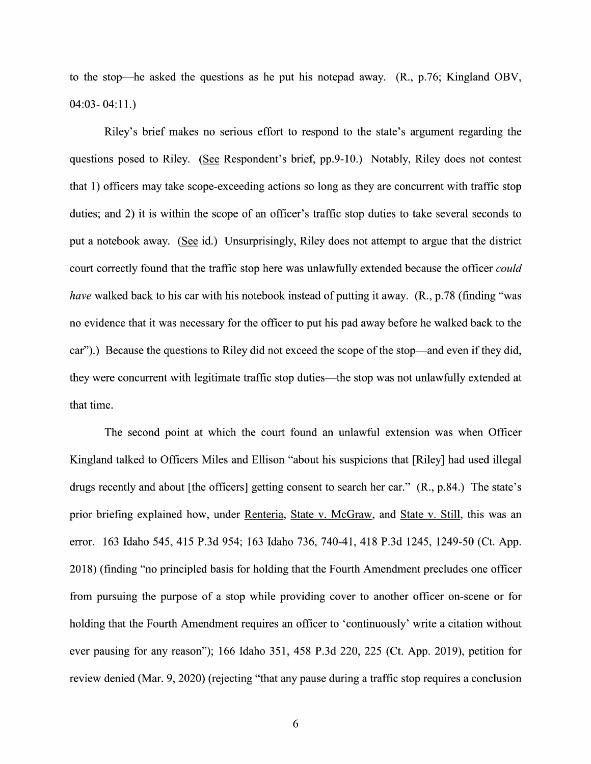to the stop—he asked the questions as he put his notepad away. (R., p.76; Kingland OBV,  $04:03 - 04:11.$ 

Riley's brief makes no serious effort to respond to the state's argument regarding the questions posed to Riley. (See Respondent's brief, pp.9-10.) Notably, Riley does not contest that 1) officers may take scope-exceeding actions so long as they are concurrent with traffic stop duties; and 2) it is within the scope of an officer's traffic stop duties to take several seconds to put a notebook away. (See id.) Unsurprisingly, Riley does not attempt to argue that the district court correctly found that the traffic stop here was unlawfully extended because the officer could have walked back to his car with his notebook instead of putting it away. (R., p.78 (finding "was no evidence that it was necessary for the officer to put his pad away before he walked back to the car").) Because the questions to Riley did not exceed the scope of the stop—and even if they did, they were concurrent with legitimate traffic stop duties—the stop was not unlawfully extended at that time.

The second point at which the court found an unlawful extension was when Officer Kingland talked to Officers Miles and Ellison "about his suspicions that [Riley] had used illegal drugs recently and about [the officers] getting consent to search her car."  $(R., p.84.)$  The state's prior briefing explained how, under Renteria, State v. McGraw, and State v. Still, this was an error. 163 Idaho 545, 415 P.3d 954; 163 Idaho 736, 740-41, 418 P.3d 1245, 1249-50 (Ct. App. 2018) (finding "no principled basis for holding that the Fourth Amendment precludes one officer from pursuing the purpose of a stop while providing cover to another officer on-scene or for holding that the Fourth Amendment requires an officer to 'continuously' write a citation without ever pausing for any reason"); 166 Idaho 351, 458 P.3d 220, 225 (Ct. App. 2019), petition for review denied (Mar. 9, 2020) (rejecting "that any pause during a traffic stop requires a conclusion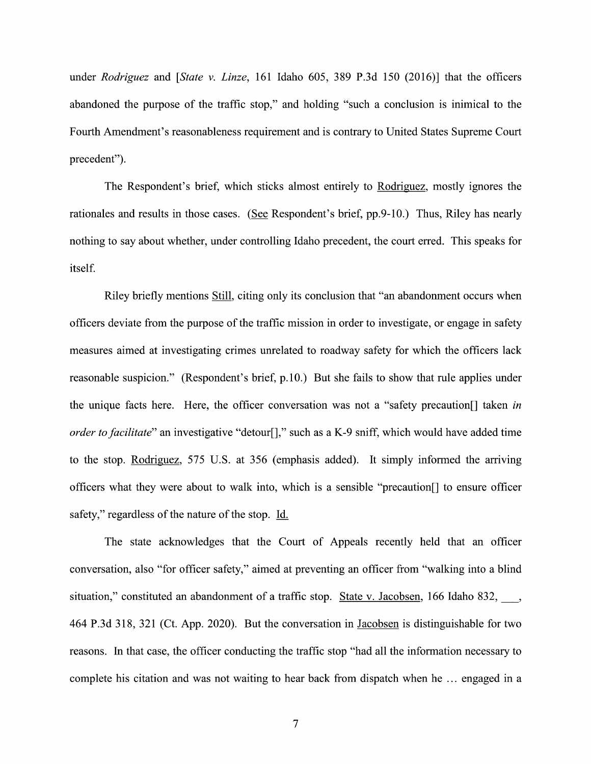under Rodriguez and [State v. Linze, 161 Idaho 605, 389 P.3d 150 (2016)] that the officers abandoned the purpose of the traffic stop," and holding "such a conclusion is inimical to the Fourth Amendment's reasonableness requirement and is contrary to United States Supreme Court precedent").

The Respondent's brief, which sticks almost entirely to Rodriguez, mostly ignores the rationales and results in those cases. (See Respondent's brief, pp.9-10.) Thus, Riley has nearly nothing to say about whether, under controlling Idaho precedent, the court erred. This speaks for itself.

Riley briefly mentions Still, citing only its conclusion that "an abandonment occurs when officers deviate from the purpose 0f the traffic mission in order to investigate, or engage in safety measures aimed at investigating crimes unrelated to roadway safety for which the officers lack reasonable suspicion." (Respondent's brief, p.10.) But she fails to show that rule applies under the unique facts here. Here, the officer conversation was not a "safety precaution. The laken in *order to facilitate*" an investigative "detour[]," such as a K-9 sniff, which would have added time to the stop. Rodriguez, 575 U.S. at 356 (emphasis added). It simply informed the arriving officers What they were about t0 walk into, Which is sensible "precaution[] t0 ensure officer safety," regardless of the nature of the stop. Id.

The state acknowledges that the Court of Appeals recently held that an officer conversation, also "for officer safety," aimed at preventing an officer from "walking into a blind situation," constituted an abandonment of a traffic stop. State v. Jacobsen, 166 Idaho 832,  $\qquad \qquad$ 464 P.3d 318, 321 (Ct. App. 2020). But the conversation in Jacobsen is distinguishable for two reasons. In that case, the officer conducting the traffic stop "had all the information necessary to complete his citation and was not waiting to hear back from dispatch when he ... engaged in a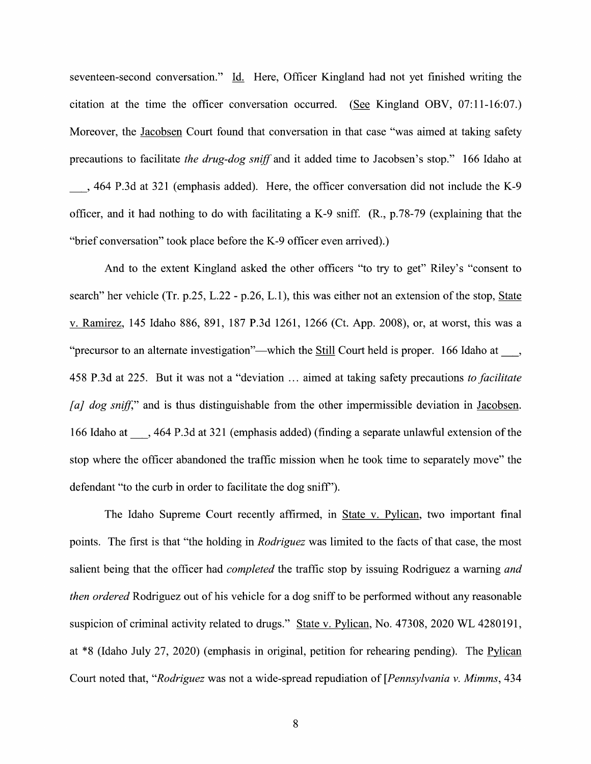seventeen-second conversation." Id. Here, Officer Kingland had not yet finished writing the citation at the time the officer conversation occurred. (See Kingland OBV,  $07:11-16:07$ .) Moreover, the Jacobsen Court found that conversation in that case "was aimed at taking safety precautions to facilitate the drug-dog sniff and it added time to Jacobsen's stop." 166 Idaho at

\_, <sup>464</sup> P.3d at <sup>321</sup> (emphasis added). Here, the officer conversation did not include the K—9 officer, and it had nothing to do with facilitating a K-9 sniff.  $(R_n, p.78-79)$  (explaining that the "brief conversation" took place before the K-9 officer even arrived).)

And to the extent Kingland asked the other officers "to try to get" Riley's "consent to search" her vehicle (Tr. p.25, L.22 - p.26, L.1), this was either not an extension of the stop, State V. Ramirez, 145 Idaho 886, 891, 187 P.3d 1261, 1266 (Ct. App. 2008), or, at worst, this was "precursor to an alternate investigation"—which the **Still Court held is proper.** 166 Idaho at  $\phantom{0}$ , 458 P.3d at 225. But it was not a "deviation ... aimed at taking safety precautions to facilitate [a] dog sniff," and is thus distinguishable from the other impermissible deviation in Jacobsen. 166 Idaho at  $\,$ , 464 P.3d at 321 (emphasis added) (finding a separate unlawful extension of the stop where the officer abandoned the traffic mission when he took time to separately move" the defendant "t0 the curb in order to facilitate the dog sniff").

The Idaho Supreme Court recently affirmed, in State v. Pylican, two important final points. The first is that "the holding in *Rodriguez* was limited to the facts of that case, the most salient being that the officer had *completed* the traffic stop by issuing Rodriguez a warning *and* then ordered Rodriguez out of his vehicle for a dog sniff to be performed without any reasonable suspicion of criminal activity related to drugs." State v. Pylican, No. 47308, 2020 WL 4280191, at \*8 (Idaho July 27, 2020) (emphasis in original, petition for rehearing pending). The Pylican Court noted that, "Rodriguez was not a wide-spread repudiation of [Pennsylvania v. Mimms, 434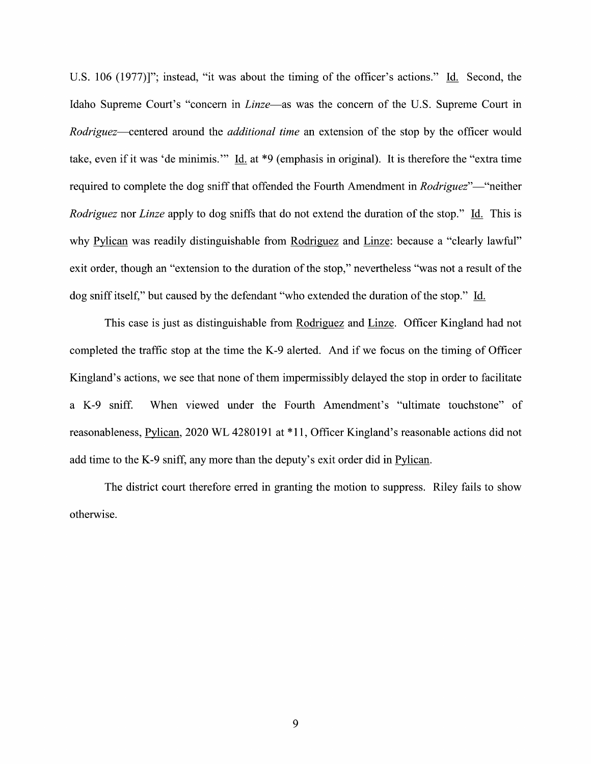U.S. 106 (1977)]"; instead, "it was about the timing of the officer's actions." Id. Second, the Idaho Supreme Court's "concern in *Linze*—as was the concern of the U.S. Supreme Court in Rodriguez—centered around the *additional time* an extension of the stop by the officer would take, even if it was 'de minimis.'" Id. at \*9 (emphasis in original). It is therefore the "extra time" required to complete the dog sniff that offended the Fourth Amendment in Rodriguez"—"neither Rodriguez nor Linze apply to dog sniffs that do not extend the duration of the stop." Id. This is why Pylican was readily distinguishable from Rodriguez and Linze: because a "clearly lawful" exit order, though an "extension to the duration of the stop," nevertheless "was not a result of the dog sniff itself," but caused by the defendant "who extended the duration of the stop." Id.

This case is just as distinguishable from Rodriguez and Linze. Officer Kingland had not completed the traffic stop at the time the K—9 alerted. And if we focus on the timing of Officer Kingland's actions, we see that none of them impermissibly delayed the stop in order to facilitate a K-9 sniff. When viewed under the Fourth Amendment's "ultimate touchstone" of reasonableness, Pylican, 2020 WL 4280191 at \*11, Officer Kingland's reasonable actions did not add time to the K-9 sniff, any more than the deputy's exit order did in Pylican.

The district court therefore erred in granting the motion to suppress. Riley fails to show otherwise.

9